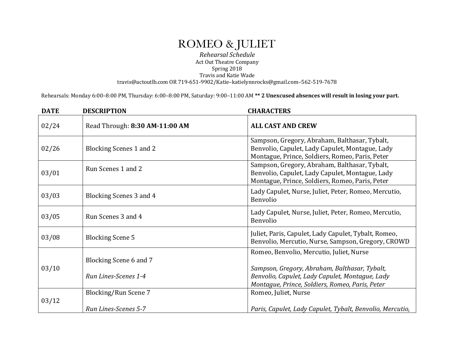## ROMEO & JULIET

*Rehearsal Schedule* Act Out Theatre Company Spring 2018 Travis and Katie Wade travis@actoutlb.com OR 719-651-9902/Katie–katielynnrocks@gmail.com–562-519-7678

Rehearsals: Monday 6:00-8:00 PM, Thursday: 6:00-8:00 PM, Saturday: 9:00-11:00 AM \*\* 2 Unexcused absences will result in losing your part.

| <b>DATE</b> | <b>DESCRIPTION</b>             | <b>CHARACTERS</b>                                                                                                                                   |
|-------------|--------------------------------|-----------------------------------------------------------------------------------------------------------------------------------------------------|
| 02/24       | Read Through: 8:30 AM-11:00 AM | <b>ALL CAST AND CREW</b>                                                                                                                            |
| 02/26       | <b>Blocking Scenes 1 and 2</b> | Sampson, Gregory, Abraham, Balthasar, Tybalt,<br>Benvolio, Capulet, Lady Capulet, Montague, Lady<br>Montague, Prince, Soldiers, Romeo, Paris, Peter |
| 03/01       | Run Scenes 1 and 2             | Sampson, Gregory, Abraham, Balthasar, Tybalt,<br>Benvolio, Capulet, Lady Capulet, Montague, Lady<br>Montague, Prince, Soldiers, Romeo, Paris, Peter |
| 03/03       | Blocking Scenes 3 and 4        | Lady Capulet, Nurse, Juliet, Peter, Romeo, Mercutio,<br>Benvolio                                                                                    |
| 03/05       | Run Scenes 3 and 4             | Lady Capulet, Nurse, Juliet, Peter, Romeo, Mercutio,<br>Benvolio                                                                                    |
| 03/08       | <b>Blocking Scene 5</b>        | Juliet, Paris, Capulet, Lady Capulet, Tybalt, Romeo,<br>Benvolio, Mercutio, Nurse, Sampson, Gregory, CROWD                                          |
| 03/10       | Blocking Scene 6 and 7         | Romeo, Benvolio, Mercutio, Juliet, Nurse<br>Sampson, Gregory, Abraham, Balthasar, Tybalt,                                                           |
|             | Run Lines-Scenes 1-4           | Benvolio, Capulet, Lady Capulet, Montague, Lady<br>Montague, Prince, Soldiers, Romeo, Paris, Peter                                                  |
| 03/12       | Blocking/Run Scene 7           | Romeo, Juliet, Nurse                                                                                                                                |
|             | Run Lines-Scenes 5-7           | Paris, Capulet, Lady Capulet, Tybalt, Benvolio, Mercutio,                                                                                           |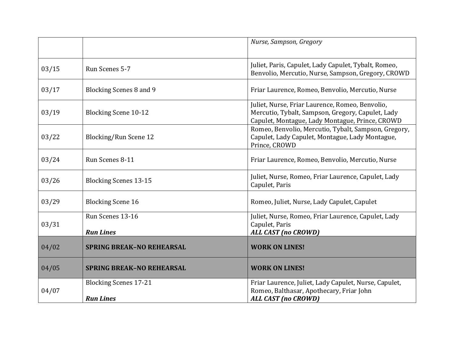|       |                                                  | Nurse, Sampson, Gregory                                                                                                                                 |
|-------|--------------------------------------------------|---------------------------------------------------------------------------------------------------------------------------------------------------------|
| 03/15 | Run Scenes 5-7                                   | Juliet, Paris, Capulet, Lady Capulet, Tybalt, Romeo,<br>Benvolio, Mercutio, Nurse, Sampson, Gregory, CROWD                                              |
| 03/17 | <b>Blocking Scenes 8 and 9</b>                   | Friar Laurence, Romeo, Benvolio, Mercutio, Nurse                                                                                                        |
| 03/19 | <b>Blocking Scene 10-12</b>                      | Juliet, Nurse, Friar Laurence, Romeo, Benvolio,<br>Mercutio, Tybalt, Sampson, Gregory, Capulet, Lady<br>Capulet, Montague, Lady Montague, Prince, CROWD |
| 03/22 | Blocking/Run Scene 12                            | Romeo, Benvolio, Mercutio, Tybalt, Sampson, Gregory,<br>Capulet, Lady Capulet, Montague, Lady Montague,<br>Prince, CROWD                                |
| 03/24 | Run Scenes 8-11                                  | Friar Laurence, Romeo, Benvolio, Mercutio, Nurse                                                                                                        |
| 03/26 | <b>Blocking Scenes 13-15</b>                     | Juliet, Nurse, Romeo, Friar Laurence, Capulet, Lady<br>Capulet, Paris                                                                                   |
| 03/29 | <b>Blocking Scene 16</b>                         | Romeo, Juliet, Nurse, Lady Capulet, Capulet                                                                                                             |
| 03/31 | Run Scenes 13-16<br><b>Run Lines</b>             | Juliet, Nurse, Romeo, Friar Laurence, Capulet, Lady<br>Capulet, Paris<br><b>ALL CAST (no CROWD)</b>                                                     |
| 04/02 | <b>SPRING BREAK-NO REHEARSAL</b>                 | <b>WORK ON LINES!</b>                                                                                                                                   |
| 04/05 | <b>SPRING BREAK-NO REHEARSAL</b>                 | <b>WORK ON LINES!</b>                                                                                                                                   |
| 04/07 | <b>Blocking Scenes 17-21</b><br><b>Run Lines</b> | Friar Laurence, Juliet, Lady Capulet, Nurse, Capulet,<br>Romeo, Balthasar, Apothecary, Friar John<br><b>ALL CAST (no CROWD)</b>                         |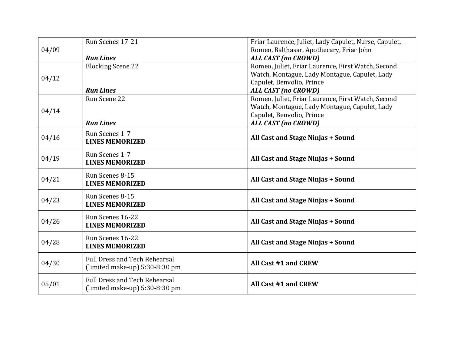| 04/09 | Run Scenes 17-21                     | Friar Laurence, Juliet, Lady Capulet, Nurse, Capulet,<br>Romeo, Balthasar, Apothecary, Friar John |
|-------|--------------------------------------|---------------------------------------------------------------------------------------------------|
|       | <b>Run Lines</b>                     | <b>ALL CAST (no CROWD)</b>                                                                        |
|       | <b>Blocking Scene 22</b>             | Romeo, Juliet, Friar Laurence, First Watch, Second                                                |
| 04/12 |                                      | Watch, Montague, Lady Montague, Capulet, Lady                                                     |
|       | <b>Run Lines</b>                     | Capulet, Benvolio, Prince<br><b>ALL CAST (no CROWD)</b>                                           |
|       | Run Scene 22                         | Romeo, Juliet, Friar Laurence, First Watch, Second                                                |
|       |                                      | Watch, Montague, Lady Montague, Capulet, Lady                                                     |
| 04/14 |                                      | Capulet, Benvolio, Prince                                                                         |
|       | <b>Run Lines</b>                     | <b>ALL CAST (no CROWD)</b>                                                                        |
| 04/16 | Run Scenes 1-7                       | All Cast and Stage Ninjas + Sound                                                                 |
|       | <b>LINES MEMORIZED</b>               |                                                                                                   |
|       | Run Scenes 1-7                       | All Cast and Stage Ninjas + Sound                                                                 |
| 04/19 | <b>LINES MEMORIZED</b>               |                                                                                                   |
|       | Run Scenes 8-15                      |                                                                                                   |
| 04/21 | <b>LINES MEMORIZED</b>               | All Cast and Stage Ninjas + Sound                                                                 |
| 04/23 | Run Scenes 8-15                      |                                                                                                   |
|       | <b>LINES MEMORIZED</b>               | All Cast and Stage Ninjas + Sound                                                                 |
|       | Run Scenes 16-22                     |                                                                                                   |
| 04/26 | <b>LINES MEMORIZED</b>               | All Cast and Stage Ninjas + Sound                                                                 |
|       | Run Scenes 16-22                     |                                                                                                   |
| 04/28 | <b>LINES MEMORIZED</b>               | All Cast and Stage Ninjas + Sound                                                                 |
|       | <b>Full Dress and Tech Rehearsal</b> |                                                                                                   |
| 04/30 | (limited make-up) $5:30-8:30$ pm     | All Cast #1 and CREW                                                                              |
|       | <b>Full Dress and Tech Rehearsal</b> |                                                                                                   |
| 05/01 | (limited make-up) $5:30-8:30$ pm     | All Cast #1 and CREW                                                                              |